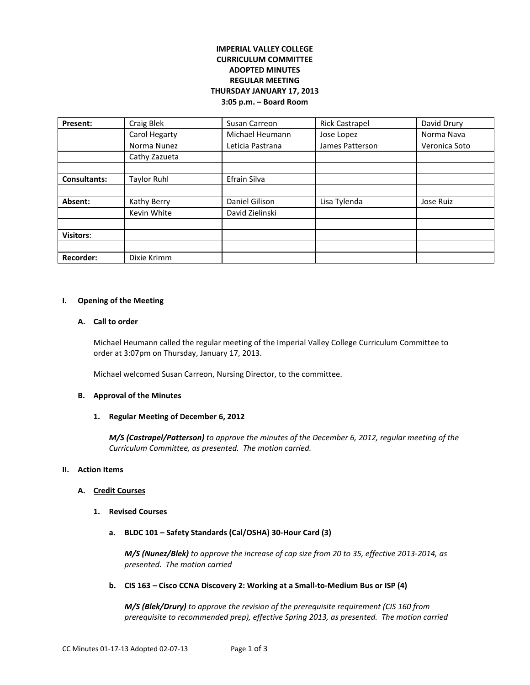# **IMPERIAL VALLEY COLLEGE CURRICULUM COMMITTEE ADOPTED MINUTES REGULAR MEETING THURSDAY JANUARY 17, 2013 3:05 p.m. – Board Room**

| Present:            | Craig Blek    | Susan Carreon    | <b>Rick Castrapel</b> | David Drury   |
|---------------------|---------------|------------------|-----------------------|---------------|
|                     | Carol Hegarty | Michael Heumann  | Jose Lopez            | Norma Nava    |
|                     | Norma Nunez   | Leticia Pastrana | James Patterson       | Veronica Soto |
|                     | Cathy Zazueta |                  |                       |               |
|                     |               |                  |                       |               |
| <b>Consultants:</b> | Taylor Ruhl   | Efrain Silva     |                       |               |
|                     |               |                  |                       |               |
| Absent:             | Kathy Berry   | Daniel Gilison   | Lisa Tylenda          | Jose Ruiz     |
|                     | Kevin White   | David Zielinski  |                       |               |
|                     |               |                  |                       |               |
| <b>Visitors:</b>    |               |                  |                       |               |
|                     |               |                  |                       |               |
| <b>Recorder:</b>    | Dixie Krimm   |                  |                       |               |

#### **I. Opening of the Meeting**

#### **A. Call to order**

Michael Heumann called the regular meeting of the Imperial Valley College Curriculum Committee to order at 3:07pm on Thursday, January 17, 2013.

Michael welcomed Susan Carreon, Nursing Director, to the committee.

## **B. Approval of the Minutes**

### **1. Regular Meeting of December 6, 2012**

*M/S (Castrapel/Patterson) to approve the minutes of the December 6, 2012, regular meeting of the Curriculum Committee, as presented. The motion carried.* 

#### **II. Action Items**

### **A. Credit Courses**

- **1. Revised Courses**
	- **a. BLDC 101 – Safety Standards (Cal/OSHA) 30-Hour Card (3)**

*M/S (Nunez/Blek) to approve the increase of cap size from 20 to 35, effective 2013-2014, as presented. The motion carried*

**b. CIS 163 – Cisco CCNA Discovery 2: Working at a Small-to-Medium Bus or ISP (4)**

*M/S (Blek/Drury) to approve the revision of the prerequisite requirement (CIS 160 from prerequisite to recommended prep), effective Spring 2013, as presented. The motion carried*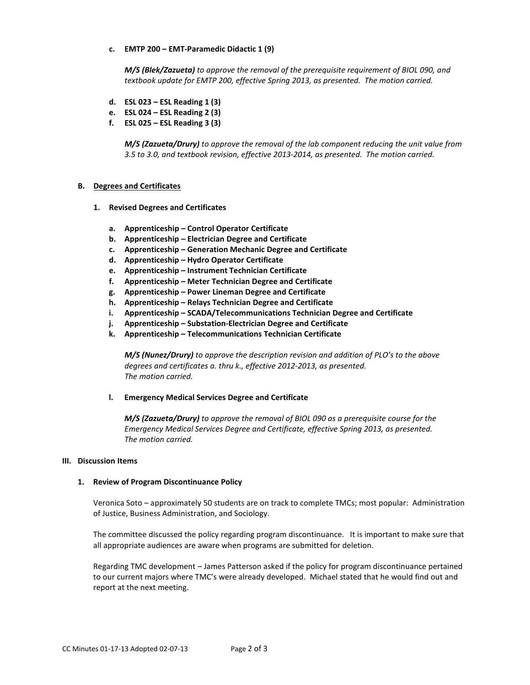## **c. EMTP 200 – EMT-Paramedic Didactic 1 (9)**

*M/S (Blek/Zazueta) to approve the removal of the prerequisite requirement of BIOL 090, and textbook update for EMTP 200, effective Spring 2013, as presented. The motion carried.*

- **d. ESL 023 – ESL Reading 1 (3)**
- **e. ESL 024 – ESL Reading 2 (3)**
- **f. ESL 025 – ESL Reading 3 (3)**

*M/S (Zazueta/Drury) to approve the removal of the lab component reducing the unit value from 3.5 to 3.0, and textbook revision, effective 2013-2014, as presented. The motion carried.*

### **B. Degrees and Certificates**

- **1. Revised Degrees and Certificates**
	- **a. Apprenticeship – Control Operator Certificate**
	- **b. Apprenticeship – Electrician Degree and Certificate**
	- **c. Apprenticeship – Generation Mechanic Degree and Certificate**
	- **d. Apprenticeship – Hydro Operator Certificate**
	- **e. Apprenticeship – Instrument Technician Certificate**
	- **f. Apprenticeship – Meter Technician Degree and Certificate**
	- **g. Apprenticeship – Power Lineman Degree and Certificate**
	- **h. Apprenticeship – Relays Technician Degree and Certificate**
	- **i. Apprenticeship – SCADA/Telecommunications Technician Degree and Certificate**
	- **j. Apprenticeship – Substation-Electrician Degree and Certificate**
	- **k. Apprenticeship – Telecommunications Technician Certificate**

*M/S (Nunez/Drury) to approve the description revision and addition of PLO's to the above degrees and certificates a. thru k., effective 2012-2013, as presented. The motion carried.*

**l. Emergency Medical Services Degree and Certificate**

*M/S (Zazueta/Drury) to approve the removal of BIOL 090 as a prerequisite course for the Emergency Medical Services Degree and Certificate, effective Spring 2013, as presented. The motion carried.*

#### **III. Discussion Items**

### **1. Review of Program Discontinuance Policy**

Veronica Soto – approximately 50 students are on track to complete TMCs; most popular: Administration of Justice, Business Administration, and Sociology.

The committee discussed the policy regarding program discontinuance. It is important to make sure that all appropriate audiences are aware when programs are submitted for deletion.

Regarding TMC development – James Patterson asked if the policy for program discontinuance pertained to our current majors where TMC's were already developed. Michael stated that he would find out and report at the next meeting.